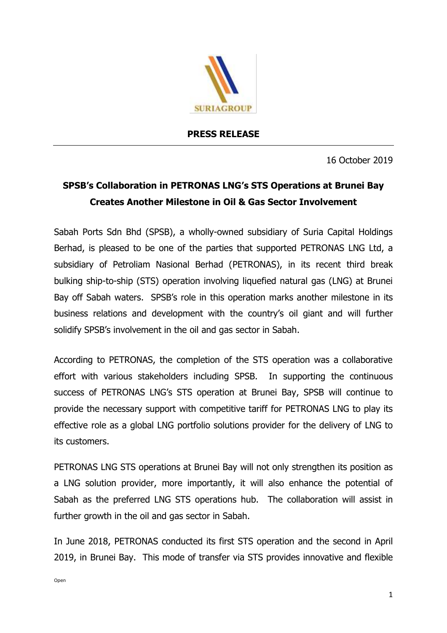

## **PRESS RELEASE**

16 October 2019

## **SPSB's Collaboration in PETRONAS LNG's STS Operations at Brunei Bay Creates Another Milestone in Oil & Gas Sector Involvement**

Sabah Ports Sdn Bhd (SPSB), a wholly-owned subsidiary of Suria Capital Holdings Berhad, is pleased to be one of the parties that supported PETRONAS LNG Ltd, a subsidiary of Petroliam Nasional Berhad (PETRONAS), in its recent third break bulking ship-to-ship (STS) operation involving liquefied natural gas (LNG) at Brunei Bay off Sabah waters. SPSB's role in this operation marks another milestone in its business relations and development with the country's oil giant and will further solidify SPSB's involvement in the oil and gas sector in Sabah.

According to PETRONAS, the completion of the STS operation was a collaborative effort with various stakeholders including SPSB. In supporting the continuous success of PETRONAS LNG's STS operation at Brunei Bay, SPSB will continue to provide the necessary support with competitive tariff for PETRONAS LNG to play its effective role as a global LNG portfolio solutions provider for the delivery of LNG to its customers.

PETRONAS LNG STS operations at Brunei Bay will not only strengthen its position as a LNG solution provider, more importantly, it will also enhance the potential of Sabah as the preferred LNG STS operations hub. The collaboration will assist in further growth in the oil and gas sector in Sabah.

In June 2018, PETRONAS conducted its first STS operation and the second in April 2019, in Brunei Bay. This mode of transfer via STS provides innovative and flexible